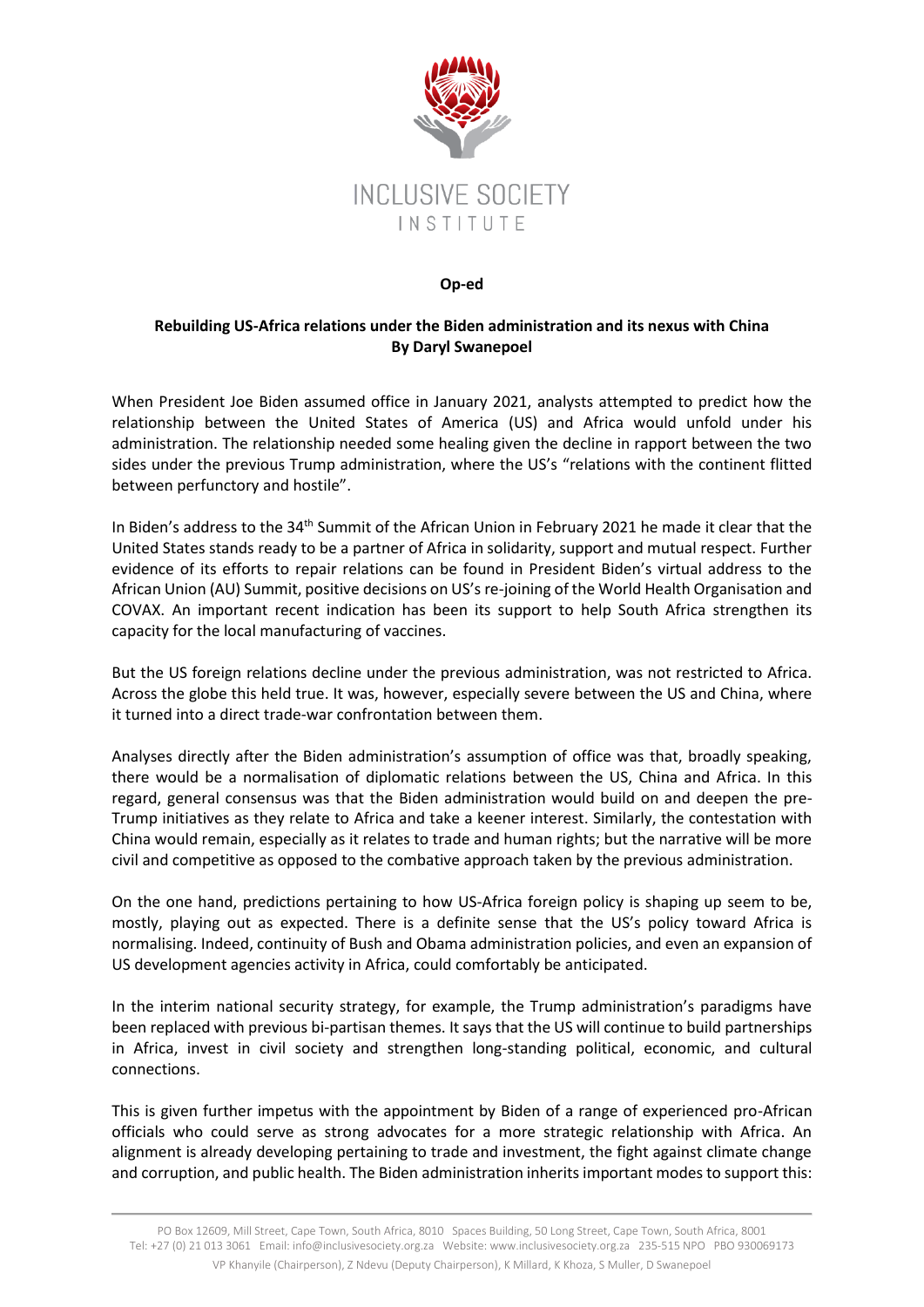

## **Op-ed**

## **Rebuilding US-Africa relations under the Biden administration and its nexus with China By Daryl Swanepoel**

When President Joe Biden assumed office in January 2021, analysts attempted to predict how the relationship between the United States of America (US) and Africa would unfold under his administration. The relationship needed some healing given the decline in rapport between the two sides under the previous Trump administration, where the US's "relations with the continent flitted between perfunctory and hostile".

In Biden's address to the 34<sup>th</sup> Summit of the African Union in February 2021 he made it clear that the United States stands ready to be a partner of Africa in solidarity, support and mutual respect. Further evidence of its efforts to repair relations can be found in President Biden's virtual address to the African Union (AU) Summit, positive decisions on US's re-joining of the World Health Organisation and COVAX. An important recent indication has been its support to help South Africa strengthen its capacity for the local manufacturing of vaccines.

But the US foreign relations decline under the previous administration, was not restricted to Africa. Across the globe this held true. It was, however, especially severe between the US and China, where it turned into a direct trade-war confrontation between them.

Analyses directly after the Biden administration's assumption of office was that, broadly speaking, there would be a normalisation of diplomatic relations between the US, China and Africa. In this regard, general consensus was that the Biden administration would build on and deepen the pre-Trump initiatives as they relate to Africa and take a keener interest. Similarly, the contestation with China would remain, especially as it relates to trade and human rights; but the narrative will be more civil and competitive as opposed to the combative approach taken by the previous administration.

On the one hand, predictions pertaining to how US-Africa foreign policy is shaping up seem to be, mostly, playing out as expected. There is a definite sense that the US's policy toward Africa is normalising. Indeed, continuity of Bush and Obama administration policies, and even an expansion of US development agencies activity in Africa, could comfortably be anticipated.

In the interim national security strategy, for example, the Trump administration's paradigms have been replaced with previous bi-partisan themes. It says that the US will continue to build partnerships in Africa, invest in civil society and strengthen long-standing political, economic, and cultural connections.

This is given further impetus with the appointment by Biden of a range of experienced pro-African officials who could serve as strong advocates for a more strategic relationship with Africa. An alignment is already developing pertaining to trade and investment, the fight against climate change and corruption, and public health. The Biden administration inherits important modes to support this: